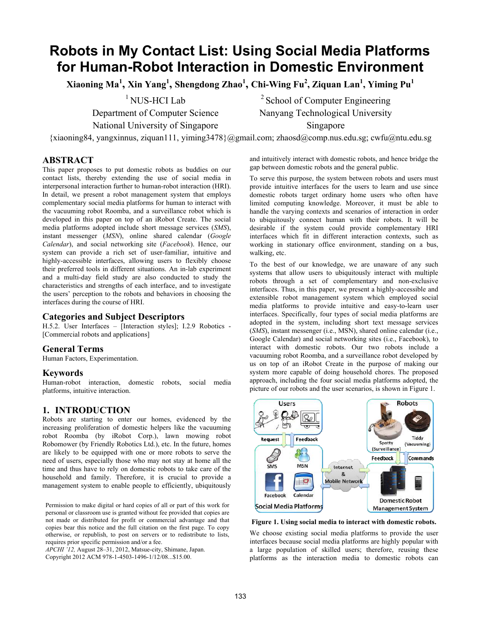# **Robots in My Contact List: Using Social Media Platforms for Human-Robot Interaction in Domestic Environment**

**Xiaoning Ma1 , Xin Yang1 , Shengdong Zhao1 , Chi-Wing Fu2 , Ziquan Lan1 , Yiming Pu<sup>1</sup>**

<sup>1</sup> NUS-HCI Lab

Department of Computer Science National University of Singapore

<sup>2</sup> School of Computer Engineering Nanyang Technological University Singapore

{xiaoning84, yangxinnus, ziquan111, yiming3478}@gmail.com; zhaosd@comp.nus.edu.sg; cwfu@ntu.edu.sg

## **ABSTRACT**

This paper proposes to put domestic robots as buddies on our contact lists, thereby extending the use of social media in interpersonal interaction further to human-robot interaction (HRI). In detail, we present a robot management system that employs complementary social media platforms for human to interact with the vacuuming robot Roomba, and a surveillance robot which is developed in this paper on top of an iRobot Create. The social media platforms adopted include short message services (*SMS*), instant messenger (*MSN*), online shared calendar (*Google Calendar*), and social networking site (*Facebook*). Hence, our system can provide a rich set of user-familiar, intuitive and highly-accessible interfaces, allowing users to flexibly choose their preferred tools in different situations. An in-lab experiment and a multi-day field study are also conducted to study the characteristics and strengths of each interface, and to investigate the users' perception to the robots and behaviors in choosing the interfaces during the course of HRI.

## **Categories and Subject Descriptors**

H.5.2. User Interfaces – [Interaction styles]; I.2.9 Robotics - [Commercial robots and applications]

## **General Terms**

Human Factors, Experimentation.

#### **Keywords**

Human-robot interaction, domestic robots, social media platforms, intuitive interaction.

## **1. INTRODUCTION**

Robots are starting to enter our homes, evidenced by the increasing proliferation of domestic helpers like the vacuuming robot Roomba (by iRobot Corp.), lawn mowing robot Robomower (by Friendly Robotics Ltd.), etc. In the future, homes are likely to be equipped with one or more robots to serve the need of users, especially those who may not stay at home all the time and thus have to rely on domestic robots to take care of the household and family. Therefore, it is crucial to provide a management system to enable people to efficiently, ubiquitously

Permission to make digital or hard copies of all or part of this work for personal or classroom use is granted without fee provided that copies are not made or distributed for profit or commercial advantage and that copies bear this notice and the full citation on the first page. To copy otherwise, or republish, to post on servers or to redistribute to lists, requires prior specific permission and/or a fee.

*APCHI '12,* August 28–31, 2012, Matsue-city, Shimane, Japan. Copyright 2012 ACM 978-1-4503-1496-1/12/08...\$15.00.

and intuitively interact with domestic robots, and hence bridge the gap between domestic robots and the general public.

To serve this purpose, the system between robots and users must provide intuitive interfaces for the users to learn and use since domestic robots target ordinary home users who often have limited computing knowledge. Moreover, it must be able to handle the varying contexts and scenarios of interaction in order to ubiquitously connect human with their robots. It will be desirable if the system could provide complementary HRI interfaces which fit in different interaction contexts, such as working in stationary office environment, standing on a bus, walking, etc.

To the best of our knowledge, we are unaware of any such systems that allow users to ubiquitously interact with multiple robots through a set of complementary and non-exclusive interfaces. Thus, in this paper, we present a highly-accessible and extensible robot management system which employed social media platforms to provide intuitive and easy-to-learn user interfaces. Specifically, four types of social media platforms are adopted in the system, including short text message services (*SMS*), instant messenger (i.e., MSN), shared online calendar (i.e., Google Calendar) and social networking sites (i.e., Facebook), to interact with domestic robots. Our two robots include a vacuuming robot Roomba, and a surveillance robot developed by us on top of an iRobot Create in the purpose of making our system more capable of doing household chores. The proposed approach, including the four social media platforms adopted, the picture of our robots and the user scenarios, is shown in Figure 1.



**Figure 1. Using social media to interact with domestic robots.** 

We choose existing social media platforms to provide the user interfaces because social media platforms are highly popular with a large population of skilled users; therefore, reusing these platforms as the interaction media to domestic robots can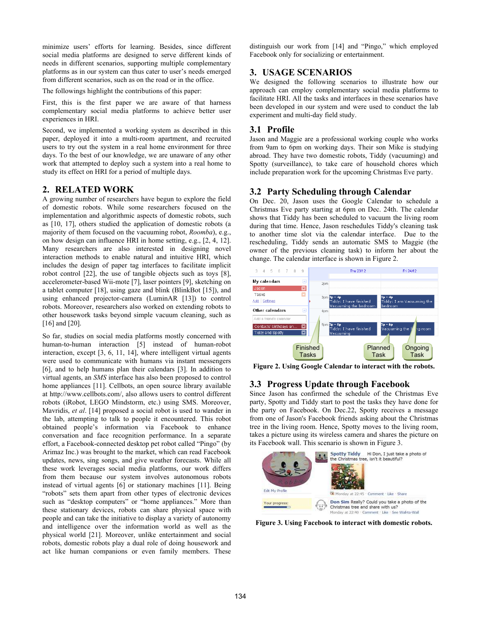minimize users' efforts for learning. Besides, since different social media platforms are designed to serve different kinds of needs in different scenarios, supporting multiple complementary platforms as in our system can thus cater to user's needs emerged from different scenarios, such as on the road or in the office.

The followings highlight the contributions of this paper:

First, this is the first paper we are aware of that harness complementary social media platforms to achieve better user experiences in HRI.

Second, we implemented a working system as described in this paper, deployed it into a multi-room apartment, and recruited users to try out the system in a real home environment for three days. To the best of our knowledge, we are unaware of any other work that attempted to deploy such a system into a real home to study its effect on HRI for a period of multiple days.

## **2. RELATED WORK**

A growing number of researchers have begun to explore the field of domestic robots. While some researchers focused on the implementation and algorithmic aspects of domestic robots, such as [10, 17], others studied the application of domestic robots (a majority of them focused on the vacuuming robot, *Roomba*), e.g., on how design can influence HRI in home setting, e.g., [2, 4, 12]. Many researchers are also interested in designing novel interaction methods to enable natural and intuitive HRI, which includes the design of paper tag interfaces to facilitate implicit robot control [22], the use of tangible objects such as toys [8], accelerometer-based Wii-mote [7], laser pointers [9], sketching on a tablet computer [18], using gaze and blink (BlinkBot [15]), and using enhanced projector-camera (LuminAR [13]) to control robots. Moreover, researchers also worked on extending robots to other housework tasks beyond simple vacuum cleaning, such as [16] and [20].

So far, studies on social media platforms mostly concerned with human-to-human interaction [5] instead of human-robot interaction, except [3, 6, 11, 14], where intelligent virtual agents were used to communicate with humans via instant messengers [6], and to help humans plan their calendars [3]. In addition to virtual agents, an *SMS* interface has also been proposed to control home appliances [11]. Cellbots, an open source library available at http://www.cellbots.com/, also allows users to control different robots (iRobot, LEGO Mindstorm, etc.) using SMS. Moreover, Mavridis, *et al*. [14] proposed a social robot is used to wander in the lab, attempting to talk to people it encountered. This robot obtained people's information via Facebook to enhance conversation and face recognition performance. In a separate effort, a Facebook-connected desktop pet robot called "Pingo" (by Arimaz Inc.) was brought to the market, which can read Facebook updates, news, sing songs, and give weather forecasts. While all these work leverages social media platforms, our work differs from them because our system involves autonomous robots instead of virtual agents [6] or stationary machines [11]. Being "robots" sets them apart from other types of electronic devices such as "desktop computers" or "home appliances." More than these stationary devices, robots can share physical space with people and can take the initiative to display a variety of autonomy and intelligence over the information world as well as the physical world [21]. Moreover, unlike entertainment and social robots, domestic robots play a dual role of doing housework and act like human companions or even family members. These

distinguish our work from [14] and "Pingo," which employed Facebook only for socializing or entertainment.

# **3. USAGE SCENARIOS**

We designed the following scenarios to illustrate how our approach can employ complementary social media platforms to facilitate HRI. All the tasks and interfaces in these scenarios have been developed in our system and were used to conduct the lab experiment and multi-day field study.

## **3.1 Profile**

Jason and Maggie are a professional working couple who works from 9am to 6pm on working days. Their son Mike is studying abroad. They have two domestic robots, Tiddy (vacuuming) and Spotty (surveillance), to take care of household chores which include preparation work for the upcoming Christmas Eve party.

# **3.2 Party Scheduling through Calendar**

On Dec. 20, Jason uses the Google Calendar to schedule a Christmas Eve party starting at 6pm on Dec. 24th. The calendar shows that Tiddy has been scheduled to vacuum the living room during that time. Hence, Jason reschedules Tiddy's cleaning task to another time slot via the calendar interface. Due to the rescheduling, Tiddy sends an automatic SMS to Maggie (the owner of the previous cleaning task) to inform her about the change. The calendar interface is shown in Figure 2.



**Figure 2. Using Google Calendar to interact with the robots.** 

# **3.3 Progress Update through Facebook**

Since Jason has confirmed the schedule of the Christmas Eve party, Spotty and Tiddy start to post the tasks they have done for the party on Facebook. On Dec.22, Spotty receives a message from one of Jason's Facebook friends asking about the Christmas tree in the living room. Hence, Spotty moves to the living room, takes a picture using its wireless camera and shares the picture on its Facebook wall. This scenario is shown in Figure 3.



**Figure 3. Using Facebook to interact with domestic robots.**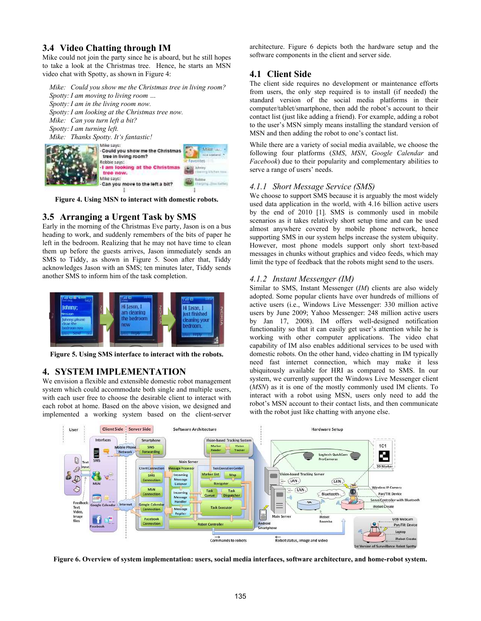# **3.4 Video Chatting through IM**

Mike could not join the party since he is aboard, but he still hopes to take a look at the Christmas tree. Hence, he starts an MSN video chat with Spotty, as shown in Figure 4:

*Mike: Could you show me the Christmas tree in living room? Spotty: I am moving to living room … Spotty: I am in the living room now. Spotty: I am looking at the Christmas tree now. Mike: Can you turn left a bit? Spotty: I am turning left. Mike: Thanks Spotty. It's fantastic!*  Mike caus:



**Figure 4. Using MSN to interact with domestic robots.** 

# **3.5 Arranging a Urgent Task by SMS**

Early in the morning of the Christmas Eve party, Jason is on a bus heading to work, and suddenly remembers of the bits of paper he left in the bedroom. Realizing that he may not have time to clean them up before the guests arrives, Jason immediately sends an SMS to Tiddy, as shown in Figure 5. Soon after that, Tiddy acknowledges Jason with an SMS; ten minutes later, Tiddy sends another SMS to inform him of the task completion.



**Figure 5. Using SMS interface to interact with the robots.** 

# **4. SYSTEM IMPLEMENTATION**

We envision a flexible and extensible domestic robot management system which could accommodate both single and multiple users, with each user free to choose the desirable client to interact with each robot at home. Based on the above vision, we designed and implemented a working system based on the client-server

architecture. Figure 6 depicts both the hardware setup and the software components in the client and server side.

# **4.1 Client Side**

The client side requires no development or maintenance efforts from users, the only step required is to install (if needed) the standard version of the social media platforms in their computer/tablet/smartphone, then add the robot's account to their contact list (just like adding a friend). For example, adding a robot to the user's MSN simply means installing the standard version of MSN and then adding the robot to one's contact list.

While there are a variety of social media available, we choose the following four platforms (*SMS*, *MSN*, *Google Calendar* and *Facebook*) due to their popularity and complementary abilities to serve a range of users' needs.

## *4.1.1 Short Message Service (SMS)*

We choose to support SMS because it is arguably the most widely used data application in the world, with 4.16 billion active users by the end of 2010 [1]. SMS is commonly used in mobile scenarios as it takes relatively short setup time and can be used almost anywhere covered by mobile phone network, hence supporting SMS in our system helps increase the system ubiquity. However, most phone models support only short text-based messages in chunks without graphics and video feeds, which may limit the type of feedback that the robots might send to the users.

## *4.1.2 Instant Messenger (IM)*

Similar to SMS, Instant Messenger (*IM*) clients are also widely adopted. Some popular clients have over hundreds of millions of active users (i.e., Windows Live Messenger: 330 million active users by June 2009; Yahoo Messenger: 248 million active users by Jan 17, 2008). IM offers well-designed notification functionality so that it can easily get user's attention while he is working with other computer applications. The video chat capability of IM also enables additional services to be used with domestic robots. On the other hand, video chatting in IM typically need fast internet connection, which may make it less ubiquitously available for HRI as compared to SMS. In our system, we currently support the Windows Live Messenger client (*MSN*) as it is one of the mostly commonly used IM clients. To interact with a robot using MSN, users only need to add the robot's MSN account to their contact lists, and then communicate with the robot just like chatting with anyone else.



**Figure 6. Overview of system implementation: users, social media interfaces, software architecture, and home-robot system.**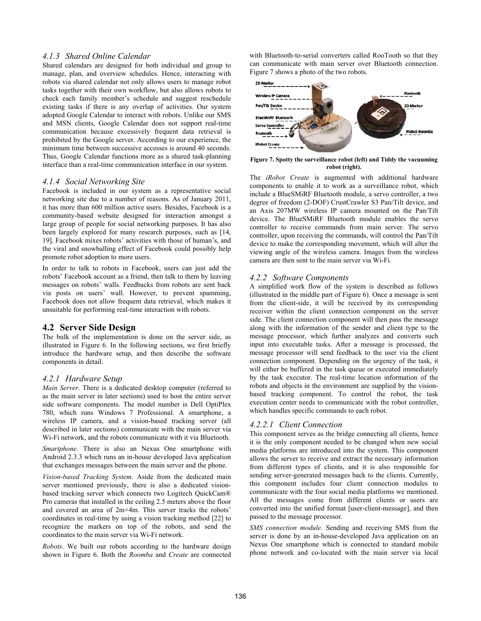## *4.1.3 Shared Online Calendar*

Shared calendars are designed for both individual and group to manage, plan, and overview schedules. Hence, interacting with robots via shared calendar not only allows users to manage robot tasks together with their own workflow, but also allows robots to check each family member's schedule and suggest reschedule existing tasks if there is any overlap of activities. Our system adopted Google Calendar to interact with robots. Unlike our SMS and MSN clients, Google Calendar does not support real-time communication because excessively frequent data retrieval is prohibited by the Google server. According to our experience, the minimum time between successive accesses is around 40 seconds. Thus, Google Calendar functions more as a shared task-planning interface than a real-time communication interface in our system.

#### *4.1.4 Social Networking Site*

Facebook is included in our system as a representative social networking site due to a number of reasons. As of January 2011, it has more than 600 million active users. Besides, Facebook is a community-based website designed for interaction amongst a large group of people for social networking purposes. It has also been largely explored for many research purposes, such as [14, 19]. Facebook mixes robots' activities with those of human's, and the viral and snowballing effect of Facebook could possibly help promote robot adoption to more users.

In order to talk to robots in Facebook, users can just add the robots' Facebook account as a friend, then talk to them by leaving messages on robots' walls. Feedbacks from robots are sent back via posts on users' wall. However, to prevent spamming, Facebook does not allow frequent data retrieval, which makes it unsuitable for performing real-time interaction with robots.

## **4.2 Server Side Design**

The bulk of the implementation is done on the server side, as illustrated in Figure 6. In the following sections, we first briefly introduce the hardware setup, and then describe the software components in detail.

#### *4.2.1 Hardware Setup*

*Main Server*. There is a dedicated desktop computer (referred to as the main server in later sections) used to host the entire server side software components. The model number is Dell OptiPlex 780, which runs Windows 7 Professional. A smartphone, a wireless IP camera, and a vision-based tracking server (all described in later sections) communicate with the main server via Wi-Fi network, and the robots communicate with it via Bluetooth.

*Smartphone.* There is also an Nexus One smartphone with Android 2.3.3 which runs an in-house developed Java application that exchanges messages between the main server and the phone.

*Vision-based Tracking System.* Aside from the dedicated main server mentioned previously, there is also a dedicated visionbased tracking server which connects two Logitech QuickCam® Pro cameras that installed in the ceiling 2.5 meters above the floor and covered an area of 2m×4m. This server tracks the robots' coordinates in real-time by using a vision tracking method [22] to recognize the markers on top of the robots, and send the coordinates to the main server via Wi-Fi network.

*Robots*. We built our robots according to the hardware design shown in Figure 6. Both the *Roomba* and *Create* are connected with Bluetooth-to-serial converters called RooTooth so that they can communicate with main server over Bluetooth connection. Figure 7 shows a photo of the two robots.



**Figure 7. Spotty the surveillance robot (left) and Tiddy the vacuuming robot (right).**

The *iRobot Create* is augmented with additional hardware components to enable it to work as a surveillance robot, which include a BlueSMiRF Bluetooth module, a servo controller, a two degree of freedom (2-DOF) CrustCrawler S3 Pan/Tilt device, and an Axis 207MW wireless IP camera mounted on the Pan/Tilt device. The BlueSMiRF Bluetooth module enables the servo controller to receive commands from main server. The servo controller, upon receiving the commands, will control the Pan/Tilt device to make the corresponding movement, which will alter the viewing angle of the wireless camera. Images from the wireless camera are then sent to the main server via Wi-Fi.

## *4.2.2 Software Components*

A simplified work flow of the system is described as follows (illustrated in the middle part of Figure 6). Once a message is sent from the client-side, it will be received by its corresponding receiver within the client connection component on the server side. The client connection component will then pass the message along with the information of the sender and client type to the message processor, which further analyzes and converts such input into executable tasks. After a message is processed, the message processor will send feedback to the user via the client connection component. Depending on the urgency of the task, it will either be buffered in the task queue or executed immediately by the task executor. The real-time location information of the robots and objects in the environment are supplied by the visionbased tracking component. To control the robot, the task execution center needs to communicate with the robot controller, which handles specific commands to each robot.

## *4.2.2.1 Client Connection*

This component serves as the bridge connecting all clients, hence it is the only component needed to be changed when new social media platforms are introduced into the system. This component allows the server to receive and extract the necessary information from different types of clients, and it is also responsible for sending server-generated messages back to the clients. Currently, this component includes four client connection modules to communicate with the four social media platforms we mentioned. All the messages come from different clients or users are converted into the unified format [user-client-message], and then passed to the message processor.

*SMS connection module.* Sending and receiving SMS from the server is done by an in-house-developed Java application on an Nexus One smartphone which is connected to standard mobile phone network and co-located with the main server via local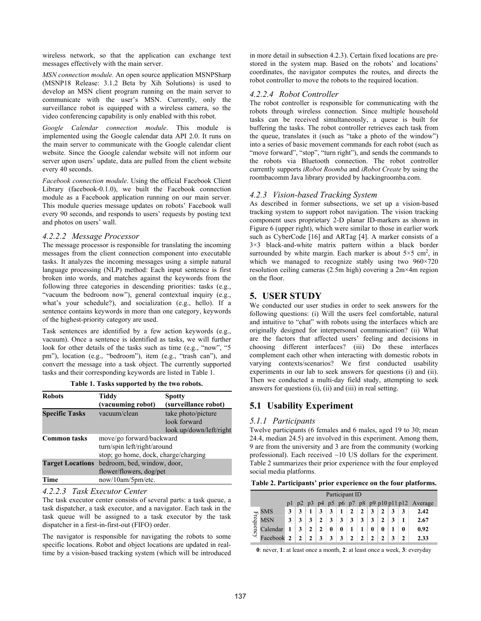wireless network, so that the application can exchange text messages effectively with the main server.

*MSN connection module.* An open source application MSNPSharp (MSNP18 Release: 3.1.2 Beta by Xih Solutions) is used to develop an MSN client program running on the main server to communicate with the user's MSN. Currently, only the surveillance robot is equipped with a wireless camera, so the video conferencing capability is only enabled with this robot.

*Google Calendar connection module*. This module is implemented using the Google calendar data API 2.0. It runs on the main server to communicate with the Google calendar client website. Since the Google calendar website will not inform our server upon users' update, data are pulled from the client website every 40 seconds.

*Facebook connection module*. Using the official Facebook Client Library (facebook-0.1.0), we built the Facebook connection module as a Facebook application running on our main server. This module queries message updates on robots' Facebook wall every 90 seconds, and responds to users' requests by posting text and photos on users' wall.

#### *4.2.2.2 Message Processor*

The message processor is responsible for translating the incoming messages from the client connection component into executable tasks. It analyzes the incoming messages using a simple natural language processing (NLP) method: Each input sentence is first broken into words, and matches against the keywords from the following three categories in descending priorities: tasks (e.g., "vacuum the bedroom now"), general contextual inquiry (e.g., what's your schedule?), and socialization (e.g., hello). If a sentence contains keywords in more than one category, keywords of the highest-priority category are used.

Task sentences are identified by a few action keywords (e.g., vacuum). Once a sentence is identified as tasks, we will further look for other details of the tasks such as time (e.g., "now", "5 pm"), location (e.g., "bedroom"), item (e.g., "trash can"), and convert the message into a task object. The currently supported tasks and their corresponding keywords are listed in Table 1.

|  |  |  |  | Table 1. Tasks supported by the two robots. |  |
|--|--|--|--|---------------------------------------------|--|
|--|--|--|--|---------------------------------------------|--|

| <b>Robots</b>           | Tiddy                                | Spotty                  |  |  |  |
|-------------------------|--------------------------------------|-------------------------|--|--|--|
|                         | (vacuuming robot)                    | (surveillance robot)    |  |  |  |
| <b>Specific Tasks</b>   | vacuum/clean                         | take photo/picture      |  |  |  |
|                         |                                      | look forward            |  |  |  |
|                         |                                      | look up/down/left/right |  |  |  |
| <b>Common tasks</b>     | move/go forward/backward             |                         |  |  |  |
|                         | turn/spin left/right/around          |                         |  |  |  |
|                         | stop; go home, dock, charge/charging |                         |  |  |  |
| <b>Target Locations</b> | bedroom, bed, window, door,          |                         |  |  |  |
|                         | flower/flowers, dog/pet              |                         |  |  |  |
| <b>Time</b>             | now/10am/5pm/etc.                    |                         |  |  |  |

*4.2.2.3 Task Executor Center* 

The task executor center consists of several parts: a task queue, a task dispatcher, a task executor, and a navigator. Each task in the task queue will be assigned to a task executor by the task dispatcher in a first-in-first-out (FIFO) order.

The navigator is responsible for navigating the robots to some specific locations. Robot and object locations are updated in realtime by a vision-based tracking system (which will be introduced in more detail in subsection 4.2.3). Certain fixed locations are prestored in the system map. Based on the robots' and locations' coordinates, the navigator computes the routes, and directs the robot controller to move the robots to the required location.

## *4.2.2.4 Robot Controller*

The robot controller is responsible for communicating with the robots through wireless connection. Since multiple household tasks can be received simultaneously, a queue is built for buffering the tasks. The robot controller retrieves each task from the queue, translates it (such as "take a photo of the window") into a series of basic movement commands for each robot (such as "move forward", "stop", "turn right"), and sends the commands to the robots via Bluetooth connection. The robot controller currently supports *iRobot Roomba* and *iRobot Create* by using the roombacomm Java library provided by hackingroomba.com.

## *4.2.3 Vision-based Tracking System*

As described in former subsections, we set up a vision-based tracking system to support robot navigation. The vision tracking component uses proprietary 2-D planar ID-markers as shown in Figure 6 (upper right), which were similar to those in earlier work such as CyberCode [16] and ARTag [4]. A marker consists of a 3×3 black-and-white matrix pattern within a black border surrounded by white margin. Each marker is about  $5\times 5$  cm<sup>2</sup>, in which we managed to recognize stably using two 960×720 resolution ceiling cameras (2.5m high) covering a 2m×4m region on the floor.

# **5. USER STUDY**

We conducted our user studies in order to seek answers for the following questions: (i) Will the users feel comfortable, natural and intuitive to "chat" with robots using the interfaces which are originally designed for interpersonal communication? (ii) What are the factors that affected users' feeling and decisions in choosing different interfaces? (iii) Do these interfaces complement each other when interacting with domestic robots in varying contexts/scenarios? We first conducted usability experiments in our lab to seek answers for questions (i) and (ii). Then we conducted a multi-day field study, attempting to seek answers for questions (i), (ii) and (iii) in real setting.

# **5.1 Usability Experiment**

#### *5.1.1 Participants*

Twelve participants (6 females and 6 males, aged 19 to 30; mean 24.4, median 24.5) are involved in this experiment. Among them, 9 are from the university and 3 are from the community (working professional). Each received  $\sim$ 10 US dollars for the experiment. Table 2 summarizes their prior experience with the four employed social media platforms.

#### **Table 2. Participants' prior experience on the four platforms.**

| Participant ID                     |            |              |    |    |    |                |                |              |              |   |   |   |                          |
|------------------------------------|------------|--------------|----|----|----|----------------|----------------|--------------|--------------|---|---|---|--------------------------|
|                                    |            | pl           | p2 | p3 | p4 | p <sub>5</sub> | p <sub>6</sub> | p7           | p8           |   |   |   | $p9$ p10 p11 p12 Average |
| FRI<br>MSN<br>Gale<br>Gale<br>Face |            | 3            | 3  |    | 3  | 3              |                | $\mathbf{2}$ | $\mathbf{2}$ | 3 | 2 |   | 2.42                     |
|                                    | <b>MSN</b> | 3            | 3  | 3  | 2  | 3              | 3              | 3            | 3            | 3 | 2 |   | 2.67                     |
|                                    | Calendar   |              | 3  | 2  | 2  | 0              | 0              |              |              | 0 | 0 | 0 | 0.92                     |
|                                    | Facebook   | $\mathbf{2}$ | 2  | 2  | 3  | 3              | 3              | $\mathbf 2$  | $\mathbf 2$  | າ |   | 2 | 2.33                     |

**0**: never, **1**: at least once a month, **2**: at least once a week, **3**: everyday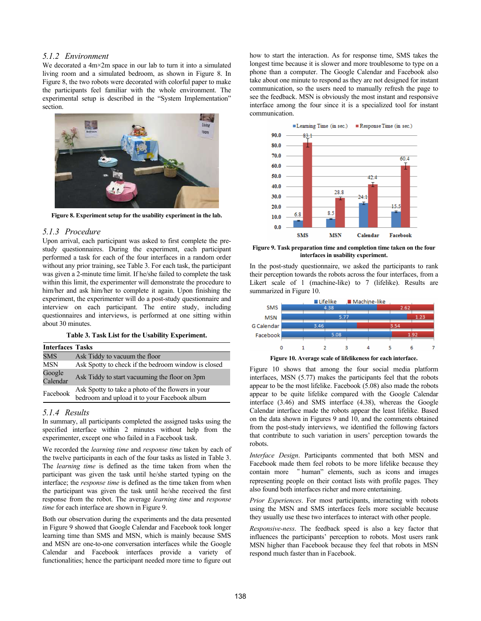## *5.1.2 Environment*

We decorated a 4m×2m space in our lab to turn it into a simulated living room and a simulated bedroom, as shown in Figure 8. In Figure 8, the two robots were decorated with colorful paper to make the participants feel familiar with the whole environment. The experimental setup is described in the "System Implementation" section.



**Figure 8. Experiment setup for the usability experiment in the lab.** 

#### *5.1.3 Procedure*

Upon arrival, each participant was asked to first complete the prestudy questionnaires. During the experiment, each participant performed a task for each of the four interfaces in a random order without any prior training, see Table 3. For each task, the participant was given a 2-minute time limit. If he/she failed to complete the task within this limit, the experimenter will demonstrate the procedure to him/her and ask him/her to complete it again. Upon finishing the experiment, the experimenter will do a post-study questionnaire and interview on each participant. The entire study, including questionnaires and interviews, is performed at one sitting within about 30 minutes.

**Table 3. Task List for the Usability Experiment.** 

| <b>Interfaces Tasks</b> |                                                                                                   |
|-------------------------|---------------------------------------------------------------------------------------------------|
| <b>SMS</b>              | Ask Tiddy to vacuum the floor                                                                     |
| <b>MSN</b>              | Ask Spotty to check if the bedroom window is closed                                               |
| Google<br>Calendar      | Ask Tiddy to start vacuuming the floor on 3pm                                                     |
| Facebook                | Ask Spotty to take a photo of the flowers in your<br>bedroom and upload it to your Facebook album |

#### *5.1.4 Results*

In summary, all participants completed the assigned tasks using the specified interface within 2 minutes without help from the experimenter, except one who failed in a Facebook task.

We recorded the *learning time* and *response time* taken by each of the twelve participants in each of the four tasks as listed in Table 3. The *learning time* is defined as the time taken from when the participant was given the task until he/she started typing on the interface; the *response time* is defined as the time taken from when the participant was given the task until he/she received the first response from the robot. The average *learning time* and *response time* for each interface are shown in Figure 9.

Both our observation during the experiments and the data presented in Figure 9 showed that Google Calendar and Facebook took longer learning time than SMS and MSN, which is mainly because SMS and MSN are one-to-one conversation interfaces while the Google Calendar and Facebook interfaces provide a variety of functionalities; hence the participant needed more time to figure out how to start the interaction. As for response time, SMS takes the longest time because it is slower and more troublesome to type on a phone than a computer. The Google Calendar and Facebook also take about one minute to respond as they are not designed for instant communication, so the users need to manually refresh the page to see the feedback. MSN is obviously the most instant and responsive interface among the four since it is a specialized tool for instant communication.



**Figure 9. Task preparation time and completion time taken on the four interfaces in usability experiment.** 

In the post-study questionnaire, we asked the participants to rank their perception towards the robots across the four interfaces, from a Likert scale of 1 (machine-like) to 7 (lifelike). Results are summarized in Figure 10.



**Figure 10. Average scale of lifelikeness for each interface.** 

Figure 10 shows that among the four social media platform interfaces, MSN (5.77) makes the participants feel that the robots appear to be the most lifelike. Facebook (5.08) also made the robots appear to be quite lifelike compared with the Google Calendar interface (3.46) and SMS interface (4.38), whereas the Google Calendar interface made the robots appear the least lifelike. Based on the data shown in Figures 9 and 10, and the comments obtained from the post-study interviews, we identified the following factors that contribute to such variation in users' perception towards the robots.

*Interface Design*. Participants commented that both MSN and Facebook made them feel robots to be more lifelike because they contain more " human" elements, such as icons and images representing people on their contact lists with profile pages. They also found both interfaces richer and more entertaining.

*Prior Experiences*. For most participants, interacting with robots using the MSN and SMS interfaces feels more sociable because they usually use these two interfaces to interact with other people.

*Responsive-ness*. The feedback speed is also a key factor that influences the participants' perception to robots. Most users rank MSN higher than Facebook because they feel that robots in MSN respond much faster than in Facebook.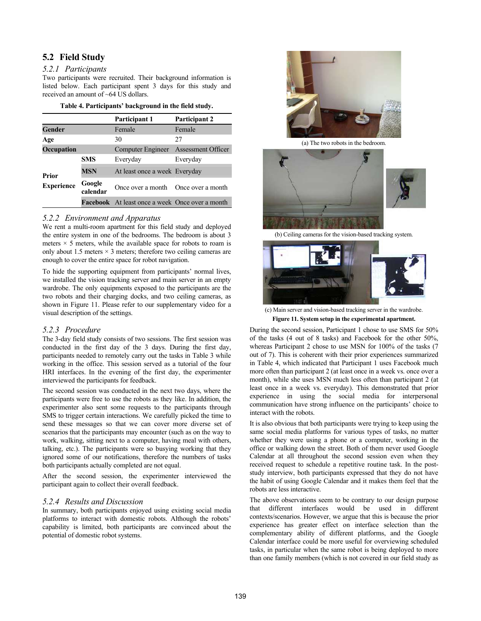# **5.2 Field Study**

#### *5.2.1 Participants*

Two participants were recruited. Their background information is listed below. Each participant spent 3 days for this study and received an amount of ~64 US dollars.

|                   |                    | Participant 1                                          | <b>Participant 2</b>      |
|-------------------|--------------------|--------------------------------------------------------|---------------------------|
| Gender            |                    | Female                                                 | Female                    |
| Age               |                    | 30                                                     | 27                        |
| Occupation        |                    | Computer Engineer                                      | <b>Assessment Officer</b> |
|                   | <b>SMS</b>         | Everyday                                               | Everyday                  |
| Prior             | <b>MSN</b>         | At least once a week Everyday                          |                           |
| <b>Experience</b> | Google<br>calendar | Once over a month                                      | Once over a month         |
|                   |                    | <b>Facebook</b> At least once a week Once over a month |                           |

#### **Table 4. Participants' background in the field study.**

#### *5.2.2 Environment and Apparatus*

We rent a multi-room apartment for this field study and deployed the entire system in one of the bedrooms. The bedroom is about 3 meters  $\times$  5 meters, while the available space for robots to roam is only about 1.5 meters  $\times$  3 meters; therefore two ceiling cameras are enough to cover the entire space for robot navigation.

To hide the supporting equipment from participants' normal lives, we installed the vision tracking server and main server in an empty wardrobe. The only equipments exposed to the participants are the two robots and their charging docks, and two ceiling cameras, as shown in Figure 11. Please refer to our supplementary video for a visual description of the settings.

#### *5.2.3 Procedure*

The 3-day field study consists of two sessions. The first session was conducted in the first day of the 3 days. During the first day, participants needed to remotely carry out the tasks in Table 3 while working in the office. This session served as a tutorial of the four HRI interfaces. In the evening of the first day, the experimenter interviewed the participants for feedback.

The second session was conducted in the next two days, where the participants were free to use the robots as they like. In addition, the experimenter also sent some requests to the participants through SMS to trigger certain interactions. We carefully picked the time to send these messages so that we can cover more diverse set of scenarios that the participants may encounter (such as on the way to work, walking, sitting next to a computer, having meal with others, talking, etc.). The participants were so busying working that they ignored some of our notifications, therefore the numbers of tasks both participants actually completed are not equal.

After the second session, the experimenter interviewed the participant again to collect their overall feedback.

#### *5.2.4 Results and Discussion*

In summary, both participants enjoyed using existing social media platforms to interact with domestic robots. Although the robots' capability is limited, both participants are convinced about the potential of domestic robot systems.



(a) The two robots in the bedroom.

(b) Ceiling cameras for the vision-based tracking system.



(c) Main server and vision-based tracking server in the wardrobe. **Figure 11. System setup in the experimental apartment.** 

During the second session, Participant 1 chose to use SMS for 50% of the tasks (4 out of 8 tasks) and Facebook for the other 50%, whereas Participant 2 chose to use MSN for 100% of the tasks (7 out of 7). This is coherent with their prior experiences summarized in Table 4, which indicated that Participant 1 uses Facebook much more often than participant 2 (at least once in a week vs. once over a month), while she uses MSN much less often than participant 2 (at least once in a week vs. everyday). This demonstrated that prior experience in using the social media for interpersonal communication have strong influence on the participants' choice to interact with the robots.

It is also obvious that both participants were trying to keep using the same social media platforms for various types of tasks, no matter whether they were using a phone or a computer, working in the office or walking down the street. Both of them never used Google Calendar at all throughout the second session even when they received request to schedule a repetitive routine task. In the poststudy interview, both participants expressed that they do not have the habit of using Google Calendar and it makes them feel that the robots are less interactive.

The above observations seem to be contrary to our design purpose that different interfaces would be used in different contexts/scenarios. However, we argue that this is because the prior experience has greater effect on interface selection than the complementary ability of different platforms, and the Google Calendar interface could be more useful for overviewing scheduled tasks, in particular when the same robot is being deployed to more than one family members (which is not covered in our field study as